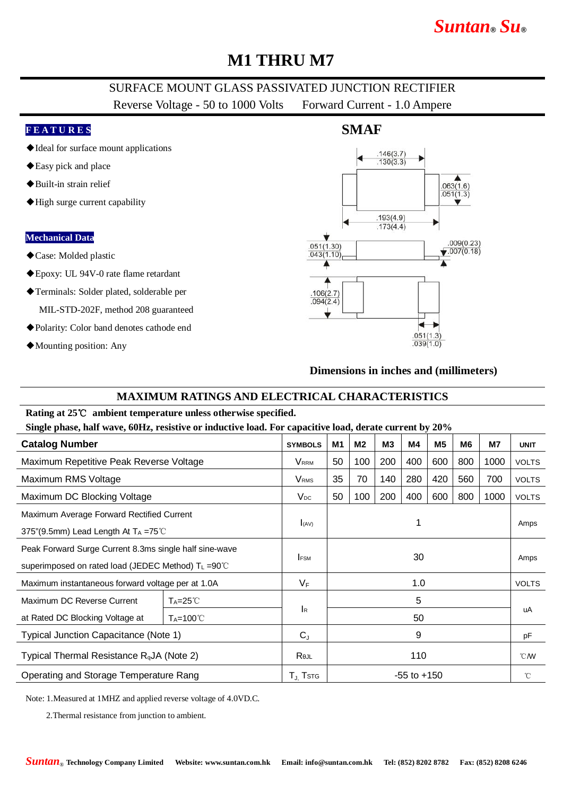# **M1 THRU M7**

## SURFACE MOUNT GLASS PASSIVATED JUNCTION RECTIFIER

Reverse Voltage - 50 to 1000 Volts Forward Current - 1.0 Ampere

#### **F E A T U R E S**

- ◆Ideal for surface mount applications
- ◆Easy pick and place
- ◆Built-in strain relief
- ◆High surge current capability

#### **Mechanical Data**

- ◆Case: Molded plastic
- ◆Epoxy: UL 94V-0 rate flame retardant
- ◆Terminals: Solder plated, solderable per MIL-STD-202F, method 208 guaranteed
- ◆Polarity: Color band denotes cathode end
- ◆Mounting position: Any



#### **Dimensions in inches and (millimeters)**

### **MAXIMUM RATINGS AND ELECTRICAL CHARACTERISTICS**

### **Rating at 25**℃ **ambient temperature unless otherwise specified.**

**Single phase, half wave, 60Hz, resistive or inductive load. For capacitive load, derate current by 20%**

| <b>Catalog Number</b>                                                                                                    |                     | <b>SYMBOLS</b>            | M1              | M <sub>2</sub> | M <sub>3</sub> | M4  | M <sub>5</sub> | M6  | <b>M7</b> | <b>UNIT</b>      |
|--------------------------------------------------------------------------------------------------------------------------|---------------------|---------------------------|-----------------|----------------|----------------|-----|----------------|-----|-----------|------------------|
| Maximum Repetitive Peak Reverse Voltage                                                                                  |                     | <b>V</b> <sub>RRM</sub>   | 50              | 100            | 200            | 400 | 600            | 800 | 1000      | <b>VOLTS</b>     |
| Maximum RMS Voltage                                                                                                      |                     | <b>V</b> <sub>RMS</sub>   | 35              | 70             | 140            | 280 | 420            | 560 | 700       | <b>VOLTS</b>     |
| Maximum DC Blocking Voltage                                                                                              |                     | $V_{DC}$                  | 50              | 100            | 200            | 400 | 600            | 800 | 1000      | <b>VOLTS</b>     |
| Maximum Average Forward Rectified Current<br>375"(9.5mm) Lead Length At $T_A = 75^{\circ}$ C                             |                     | (xA)                      | 1               |                |                |     |                |     |           | Amps             |
| Peak Forward Surge Current 8.3ms single half sine-wave<br>superimposed on rated load (JEDEC Method) $T_L = 90^{\circ}$ C |                     | <b>FSM</b>                | 30              |                |                |     |                |     |           | Amps             |
| Maximum instantaneous forward voltage per at 1.0A                                                                        |                     | $V_F$                     | 1.0             |                |                |     |                |     |           | <b>VOLTS</b>     |
| Maximum DC Reverse Current                                                                                               | $Ta=25^{\circ}C$    |                           |                 | 5              |                |     |                |     |           |                  |
| at Rated DC Blocking Voltage at                                                                                          | $T_A = 100^{\circ}$ | $\mathsf{I}_{\mathsf{R}}$ | 50              |                |                |     |                |     |           | uA               |
| Typical Junction Capacitance (Note 1)                                                                                    |                     | $C_{J}$                   | 9               |                |                |     |                |     |           | pF               |
| Typical Thermal Resistance $R_{q}$ JA (Note 2)                                                                           |                     | Rejl                      | 110             |                |                |     |                |     |           | $\mathcal{C}$ MV |
| Operating and Storage Temperature Rang                                                                                   |                     | $T_{J}$ Tstg              | $-55$ to $+150$ |                |                |     |                |     |           | °C               |

Note: 1.Measured at 1MHZ and applied reverse voltage of 4.0VD.C.

2.Thermal resistance from junction to ambient.